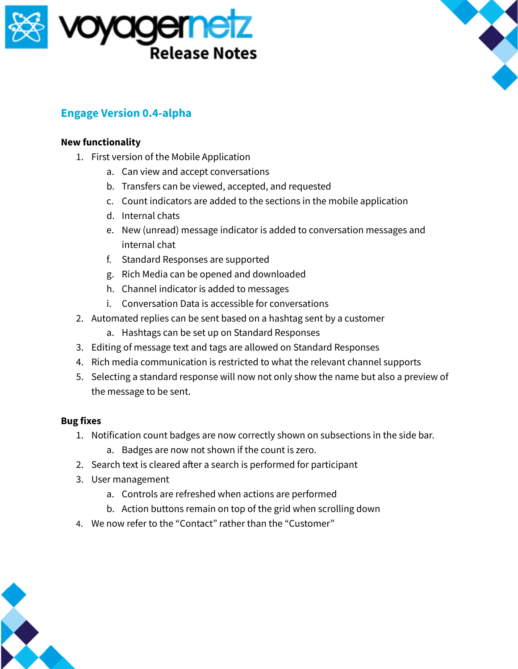



# **Engage Version 0.4-alpha**

# **New functionality**

- 1. First version of the Mobile Application
	- a. Can view and accept conversations
	- b. Transfers can be viewed, accepted, and requested
	- c. Count indicators are added to the sections in the mobile application
	- d. Internal chats
	- e. New (unread) message indicator is added to conversation messages and internal chat
	- f. Standard Responses are supported
	- g. Rich Media can be opened and downloaded
	- h. Channel indicator is added to messages
	- i. Conversation Data is accessible for conversations
- 2. Automated replies can be sent based on a hashtag sent by a customer
	- a. Hashtags can be set up on Standard Responses
- 3. Editing of message text and tags are allowed on Standard Responses
- 4. Rich media communication is restricted to what the relevant channel supports
- 5. Selecting a standard response will now not only show the name but also a preview of the message to be sent.

# **Bug fixes**

- 1. Notification count badges are now correctly shown on subsections in the side bar.
	- a. Badges are now not shown if the count is zero.
- 2. Search text is cleared after a search is performed for participant
- 3. User management
	- a. Controls are refreshed when actions are performed
	- b. Action buttons remain on top of the grid when scrolling down
- 4. We now refer to the "Contact" rather than the "Customer"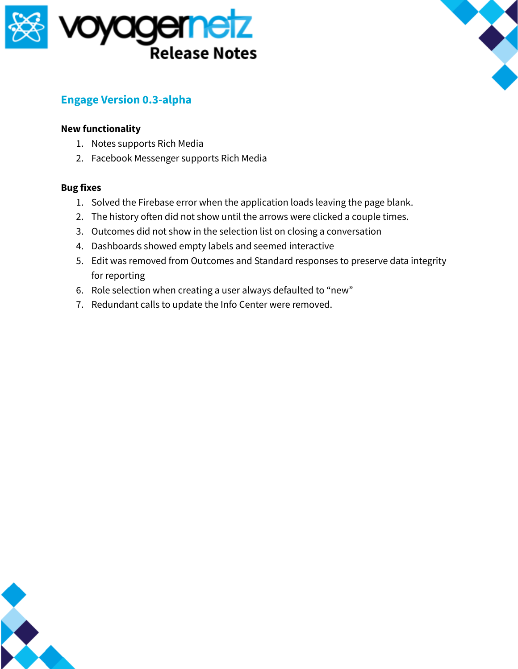



# **Engage Version 0.3-alpha**

## **New functionality**

- 1. Notes supports Rich Media
- 2. Facebook Messenger supports Rich Media

### **Bug fixes**

- 1. Solved the Firebase error when the application loads leaving the page blank.
- 2. The history often did not show until the arrows were clicked a couple times.
- 3. Outcomes did not show in the selection list on closing a conversation
- 4. Dashboards showed empty labels and seemed interactive
- 5. Edit was removed from Outcomes and Standard responses to preserve data integrity for reporting
- 6. Role selection when creating a user always defaulted to "new"
- 7. Redundant calls to update the Info Center were removed.